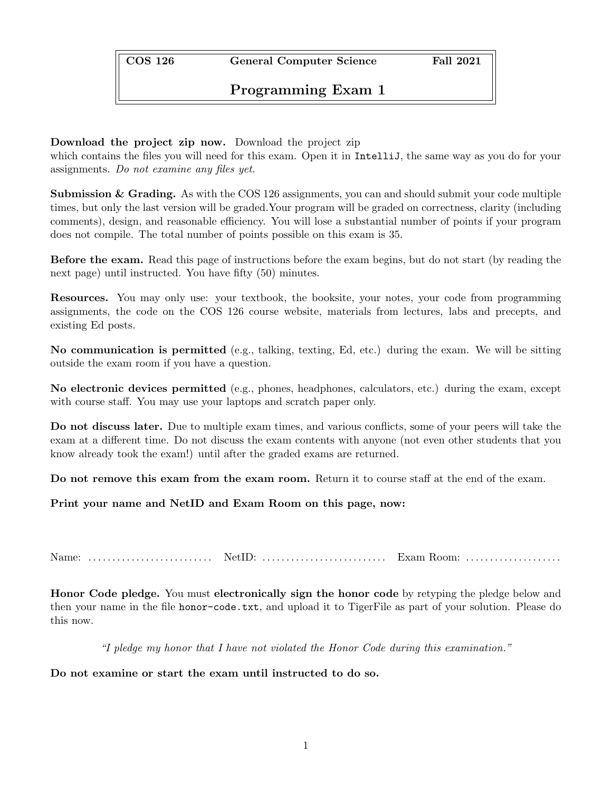COS 126 General Computer Science Fall 2021

Programming Exam 1

## Download the project zip now. Download the project zip

which contains the files you will need for this exam. Open it in IntelliJ, the same way as you do for your assignments. *Do not examine any files yet.*

**Submission & Grading.** As with the  $\cos 126$  assignments, you can and should submit your code multiple times, but only the last version will be graded.Your program will be graded on correctness, clarity (including comments), design, and reasonable efficiency. You will lose a substantial number of points if your program does not compile. The total number of points possible on this exam is 35.

Before the exam. Read this page of instructions before the exam begins, but do not start (by reading the next page) until instructed. You have fifty (50) minutes.

Resources. You may only use: your textbook, the booksite, your notes, your code from programming assignments, the code on the COS 126 course website, materials from lectures, labs and precepts, and existing Ed posts.

No communication is permitted (e.g., talking, texting, Ed, etc.) during the exam. We will be sitting outside the exam room if you have a question.

No electronic devices permitted (e.g., phones, headphones, calculators, etc.) during the exam, except with course staff. You may use your laptops and scratch paper only.

Do not discuss later. Due to multiple exam times, and various conflicts, some of your peers will take the exam at a different time. Do not discuss the exam contents with anyone (not even other students that you know already took the exam!) until after the graded exams are returned.

Do not remove this exam from the exam room. Return it to course staff at the end of the exam.

Print your name and NetID and Exam Room on this page, now:

Name: . . . . . . . . . . . . . . . . . . . . . . . . . . NetID: . . . . . . . . . . . . . . . . . . . . . . . . . . Exam Room: . . . . . . . . . . . . . . . . . . . .

Honor Code pledge. You must electronically sign the honor code by retyping the pledge below and then your name in the file honor-code.txt, and upload it to TigerFile as part of your solution. Please do this now.

*"I pledge my honor that I have not violated the Honor Code during this examination."*

Do not examine or start the exam until instructed to do so.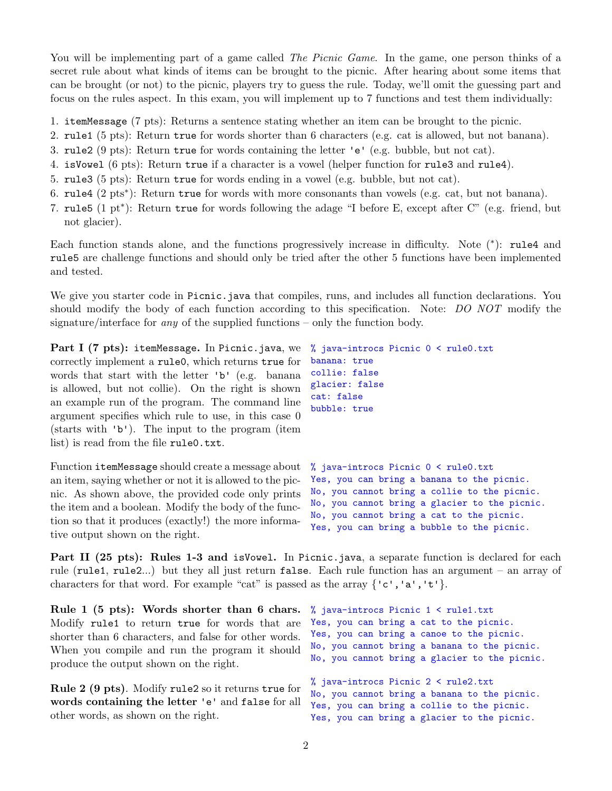You will be implementing part of a game called *The Picnic Game*. In the game, one person thinks of a secret rule about what kinds of items can be brought to the picnic. After hearing about some items that can be brought (or not) to the picnic, players try to guess the rule. Today, we'll omit the guessing part and focus on the rules aspect. In this exam, you will implement up to 7 functions and test them individually:

- 1. itemMessage (7 pts): Returns a sentence stating whether an item can be brought to the picnic.
- 2. rule1 (5 pts): Return true for words shorter than 6 characters (e.g. cat is allowed, but not banana).
- 3. rule2 (9 pts): Return true for words containing the letter 'e' (e.g. bubble, but not cat).
- 4. isVowel (6 pts): Return true if a character is a vowel (helper function for rule3 and rule4).
- 5. rule3 (5 pts): Return true for words ending in a vowel (e.g. bubble, but not cat).
- 6. rule4 (2 pts<sup>\*</sup>): Return true for words with more consonants than vowels (e.g. cat, but not banana).
- 7. rule5 (1 pt<sup>\*</sup>): Return true for words following the adage "I before E, except after  $C^{\prime\prime}$  (e.g. friend, but not glacier).

Each function stands alone, and the functions progressively increase in difficulty. Note  $(*)$ : rule4 and rule5 are challenge functions and should only be tried after the other 5 functions have been implemented and tested.

We give you starter code in Picnic.java that compiles, runs, and includes all function declarations. You should modify the body of each function according to this specification. Note: *DO NOT* modify the signature/interface for *any* of the supplied functions – only the function body.

```
Part I (7 pts): itemMessage. In Picnic.java, we
correctly implement a rule0, which returns true for
words that start with the letter 'b' (e.g. banana
is allowed, but not collie). On the right is shown
an example run of the program. The command line
argument specifies which rule to use, in this case 0
(starts with 'b'). The input to the program (item
list) is read from the file rule0.txt.
                                                    % java-introcs Picnic 0 < rule0.txt
                                                    banana: true
                                                    collie: false
                                                    glacier: false
                                                    cat: false
                                                    bubble: true
```
Function itemMessage should create a message about an item, saying whether or not it is allowed to the picnic. As shown above, the provided code only prints the item and a boolean. Modify the body of the function so that it produces (exactly!) the more informative output shown on the right.

```
% java-introcs Picnic 0 < rule0.txt
Yes, you can bring a banana to the picnic.
No, you cannot bring a collie to the picnic.
No, you cannot bring a glacier to the picnic.
No, you cannot bring a cat to the picnic.
Yes, you can bring a bubble to the picnic.
```
Part II (25 pts): Rules 1-3 and is Vowel. In Picnic. java, a separate function is declared for each rule (rule1, rule2...) but they all just return false. Each rule function has an argument – an array of characters for that word. For example "cat" is passed as the array *{*'c','a','t'*}*.

Rule 1 (5 pts): Words shorter than 6 chars. Modify rule1 to return true for words that are shorter than 6 characters, and false for other words. When you compile and run the program it should produce the output shown on the right.

Rule 2 (9 pts). Modify rule2 so it returns true for words containing the letter 'e' and false for all other words, as shown on the right.

% java-introcs Picnic 1 < rule1.txt Yes, you can bring a cat to the picnic. Yes, you can bring a canoe to the picnic. No, you cannot bring a banana to the picnic. No, you cannot bring a glacier to the picnic. % java-introcs Picnic 2 < rule2.txt No, you cannot bring a banana to the picnic. Yes, you can bring a collie to the picnic.

Yes, you can bring a glacier to the picnic.